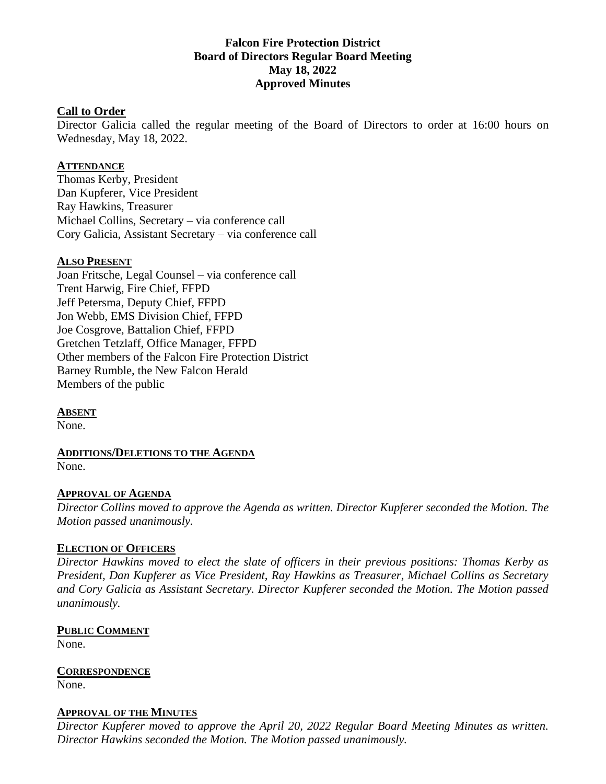## **Falcon Fire Protection District Board of Directors Regular Board Meeting May 18, 2022 Approved Minutes**

#### **Call to Order**

Director Galicia called the regular meeting of the Board of Directors to order at 16:00 hours on Wednesday, May 18, 2022.

#### **ATTENDANCE**

Thomas Kerby, President Dan Kupferer, Vice President Ray Hawkins, Treasurer Michael Collins, Secretary – via conference call Cory Galicia, Assistant Secretary – via conference call

#### **ALSO PRESENT**

Joan Fritsche, Legal Counsel – via conference call Trent Harwig, Fire Chief, FFPD Jeff Petersma, Deputy Chief, FFPD Jon Webb, EMS Division Chief, FFPD Joe Cosgrove, Battalion Chief, FFPD Gretchen Tetzlaff, Office Manager, FFPD Other members of the Falcon Fire Protection District Barney Rumble, the New Falcon Herald Members of the public

**ABSENT**

None.

**ADDITIONS/DELETIONS TO THE AGENDA** None.

#### **APPROVAL OF AGENDA**

*Director Collins moved to approve the Agenda as written. Director Kupferer seconded the Motion. The Motion passed unanimously.*

#### **ELECTION OF OFFICERS**

*Director Hawkins moved to elect the slate of officers in their previous positions: Thomas Kerby as President, Dan Kupferer as Vice President, Ray Hawkins as Treasurer, Michael Collins as Secretary and Cory Galicia as Assistant Secretary. Director Kupferer seconded the Motion. The Motion passed unanimously.*

# **PUBLIC COMMENT**

None.

**CORRESPONDENCE** None.

#### **APPROVAL OF THE MINUTES**

*Director Kupferer moved to approve the April 20, 2022 Regular Board Meeting Minutes as written. Director Hawkins seconded the Motion. The Motion passed unanimously.*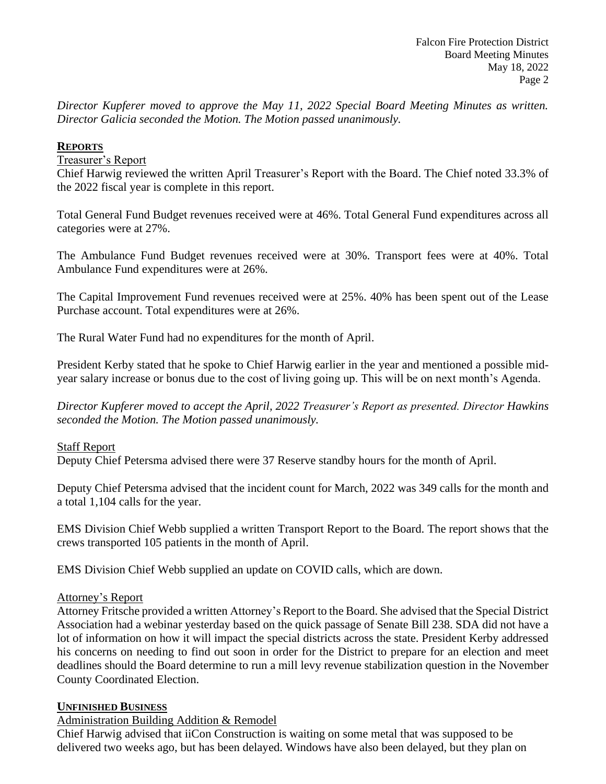*Director Kupferer moved to approve the May 11, 2022 Special Board Meeting Minutes as written. Director Galicia seconded the Motion. The Motion passed unanimously.*

## **REPORTS**

## Treasurer's Report

Chief Harwig reviewed the written April Treasurer's Report with the Board. The Chief noted 33.3% of the 2022 fiscal year is complete in this report.

Total General Fund Budget revenues received were at 46%. Total General Fund expenditures across all categories were at 27%.

The Ambulance Fund Budget revenues received were at 30%. Transport fees were at 40%. Total Ambulance Fund expenditures were at 26%.

The Capital Improvement Fund revenues received were at 25%. 40% has been spent out of the Lease Purchase account. Total expenditures were at 26%.

The Rural Water Fund had no expenditures for the month of April.

President Kerby stated that he spoke to Chief Harwig earlier in the year and mentioned a possible midyear salary increase or bonus due to the cost of living going up. This will be on next month's Agenda.

*Director Kupferer moved to accept the April, 2022 Treasurer's Report as presented. Director Hawkins seconded the Motion. The Motion passed unanimously.*

## Staff Report

Deputy Chief Petersma advised there were 37 Reserve standby hours for the month of April.

Deputy Chief Petersma advised that the incident count for March, 2022 was 349 calls for the month and a total 1,104 calls for the year.

EMS Division Chief Webb supplied a written Transport Report to the Board. The report shows that the crews transported 105 patients in the month of April.

EMS Division Chief Webb supplied an update on COVID calls, which are down.

## Attorney's Report

Attorney Fritsche provided a written Attorney's Report to the Board. She advised that the Special District Association had a webinar yesterday based on the quick passage of Senate Bill 238. SDA did not have a lot of information on how it will impact the special districts across the state. President Kerby addressed his concerns on needing to find out soon in order for the District to prepare for an election and meet deadlines should the Board determine to run a mill levy revenue stabilization question in the November County Coordinated Election.

## **UNFINISHED BUSINESS**

## Administration Building Addition & Remodel

Chief Harwig advised that iiCon Construction is waiting on some metal that was supposed to be delivered two weeks ago, but has been delayed. Windows have also been delayed, but they plan on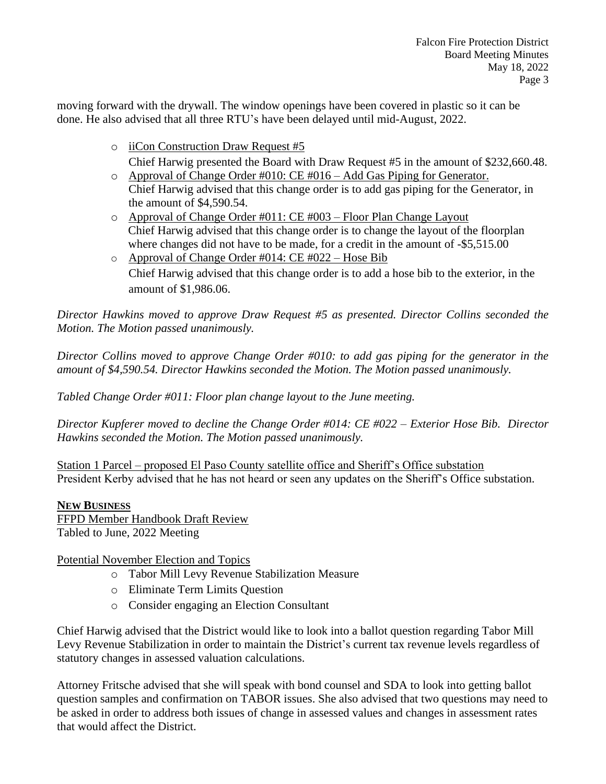moving forward with the drywall. The window openings have been covered in plastic so it can be done. He also advised that all three RTU's have been delayed until mid-August, 2022.

o iiCon Construction Draw Request #5

Chief Harwig presented the Board with Draw Request #5 in the amount of \$232,660.48. o Approval of Change Order #010: CE #016 – Add Gas Piping for Generator.

- Chief Harwig advised that this change order is to add gas piping for the Generator, in the amount of \$4,590.54.
- o Approval of Change Order #011: CE #003 Floor Plan Change Layout Chief Harwig advised that this change order is to change the layout of the floorplan where changes did not have to be made, for a credit in the amount of  $-$ \$5,515.00
- $\circ$  Approval of Change Order #014: CE #022 Hose Bib Chief Harwig advised that this change order is to add a hose bib to the exterior, in the amount of \$1,986.06.

*Director Hawkins moved to approve Draw Request #5 as presented. Director Collins seconded the Motion. The Motion passed unanimously.*

*Director Collins moved to approve Change Order #010: to add gas piping for the generator in the amount of \$4,590.54. Director Hawkins seconded the Motion. The Motion passed unanimously.*

*Tabled Change Order #011: Floor plan change layout to the June meeting.*

*Director Kupferer moved to decline the Change Order #014: CE #022 – Exterior Hose Bib. Director Hawkins seconded the Motion. The Motion passed unanimously.*

Station 1 Parcel – proposed El Paso County satellite office and Sheriff's Office substation President Kerby advised that he has not heard or seen any updates on the Sheriff's Office substation.

## **NEW BUSINESS**

FFPD Member Handbook Draft Review Tabled to June, 2022 Meeting

## Potential November Election and Topics

- o Tabor Mill Levy Revenue Stabilization Measure
- o Eliminate Term Limits Question
- o Consider engaging an Election Consultant

Chief Harwig advised that the District would like to look into a ballot question regarding Tabor Mill Levy Revenue Stabilization in order to maintain the District's current tax revenue levels regardless of statutory changes in assessed valuation calculations.

Attorney Fritsche advised that she will speak with bond counsel and SDA to look into getting ballot question samples and confirmation on TABOR issues. She also advised that two questions may need to be asked in order to address both issues of change in assessed values and changes in assessment rates that would affect the District.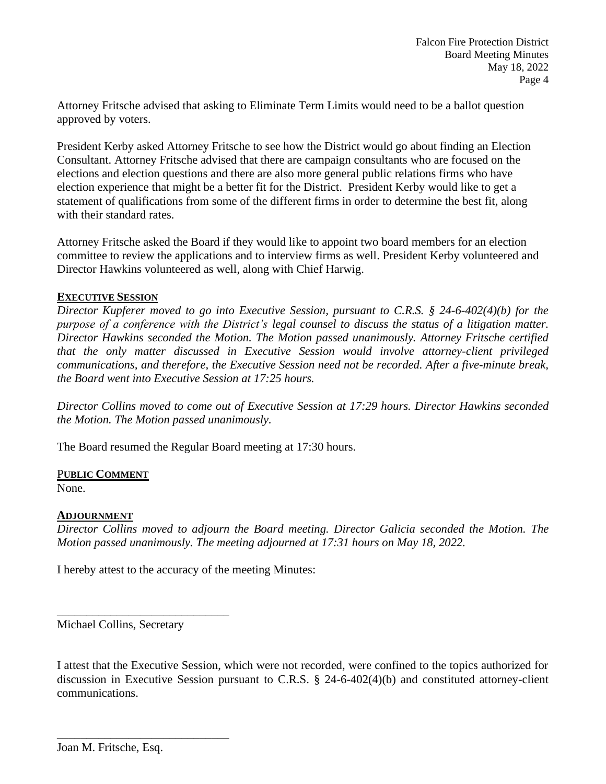Attorney Fritsche advised that asking to Eliminate Term Limits would need to be a ballot question approved by voters.

President Kerby asked Attorney Fritsche to see how the District would go about finding an Election Consultant. Attorney Fritsche advised that there are campaign consultants who are focused on the elections and election questions and there are also more general public relations firms who have election experience that might be a better fit for the District. President Kerby would like to get a statement of qualifications from some of the different firms in order to determine the best fit, along with their standard rates.

Attorney Fritsche asked the Board if they would like to appoint two board members for an election committee to review the applications and to interview firms as well. President Kerby volunteered and Director Hawkins volunteered as well, along with Chief Harwig.

## **EXECUTIVE SESSION**

*Director Kupferer moved to go into Executive Session, pursuant to C.R.S. § 24-6-402(4)(b) for the purpose of a conference with the District's legal counsel to discuss the status of a litigation matter. Director Hawkins seconded the Motion. The Motion passed unanimously. Attorney Fritsche certified that the only matter discussed in Executive Session would involve attorney-client privileged communications, and therefore, the Executive Session need not be recorded. After a five-minute break, the Board went into Executive Session at 17:25 hours.*

*Director Collins moved to come out of Executive Session at 17:29 hours. Director Hawkins seconded the Motion. The Motion passed unanimously.*

The Board resumed the Regular Board meeting at 17:30 hours.

#### P**UBLIC COMMENT**

None.

#### **ADJOURNMENT**

*Director Collins moved to adjourn the Board meeting. Director Galicia seconded the Motion. The Motion passed unanimously. The meeting adjourned at 17:31 hours on May 18, 2022.*

I hereby attest to the accuracy of the meeting Minutes:

Michael Collins, Secretary

\_\_\_\_\_\_\_\_\_\_\_\_\_\_\_\_\_\_\_\_\_\_\_\_\_\_\_\_\_

\_\_\_\_\_\_\_\_\_\_\_\_\_\_\_\_\_\_\_\_\_\_\_\_\_\_\_\_\_

I attest that the Executive Session, which were not recorded, were confined to the topics authorized for discussion in Executive Session pursuant to C.R.S. § 24-6-402(4)(b) and constituted attorney-client communications.

Joan M. Fritsche, Esq.